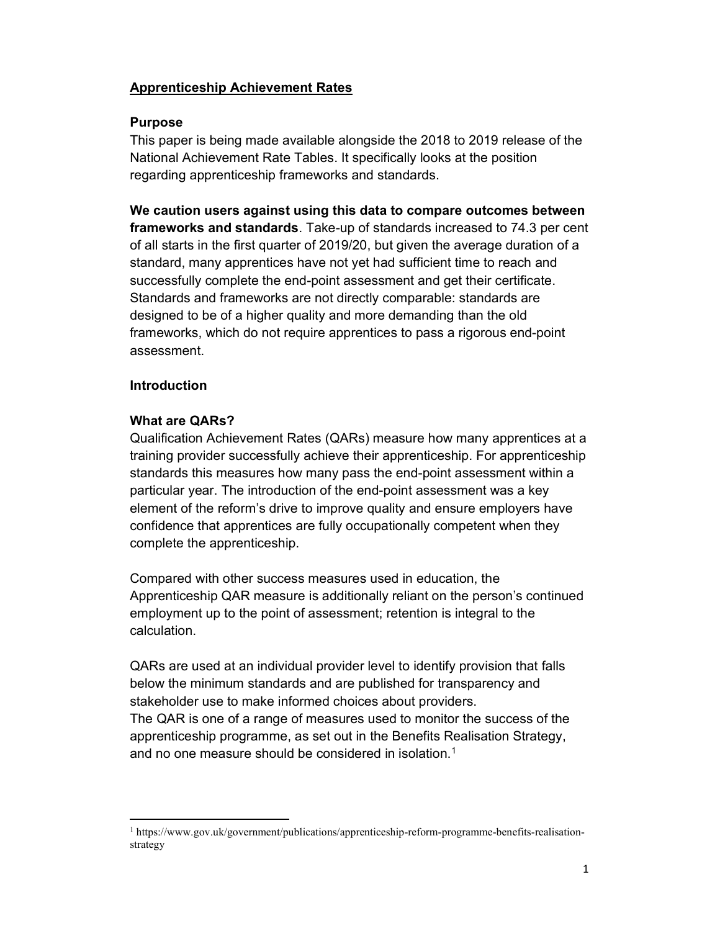# Apprenticeship Achievement Rates

# Purpose

This paper is being made available alongside the 2018 to 2019 release of the National Achievement Rate Tables. It specifically looks at the position regarding apprenticeship frameworks and standards.

We caution users against using this data to compare outcomes between frameworks and standards. Take-up of standards increased to 74.3 per cent of all starts in the first quarter of 2019/20, but given the average duration of a standard, many apprentices have not yet had sufficient time to reach and successfully complete the end-point assessment and get their certificate. Standards and frameworks are not directly comparable: standards are designed to be of a higher quality and more demanding than the old frameworks, which do not require apprentices to pass a rigorous end-point assessment.

# **Introduction**

# What are QARs?

Qualification Achievement Rates (QARs) measure how many apprentices at a training provider successfully achieve their apprenticeship. For apprenticeship standards this measures how many pass the end-point assessment within a particular year. The introduction of the end-point assessment was a key element of the reform's drive to improve quality and ensure employers have confidence that apprentices are fully occupationally competent when they complete the apprenticeship.

Compared with other success measures used in education, the Apprenticeship QAR measure is additionally reliant on the person's continued employment up to the point of assessment; retention is integral to the calculation.

QARs are used at an individual provider level to identify provision that falls below the minimum standards and are published for transparency and stakeholder use to make informed choices about providers. The QAR is one of a range of measures used to monitor the success of the apprenticeship programme, as set out in the Benefits Realisation Strategy, and no one measure should be considered in isolation.<sup>1</sup>

<sup>&</sup>lt;sup>1</sup> https://www.gov.uk/government/publications/apprenticeship-reform-programme-benefits-realisationstrategy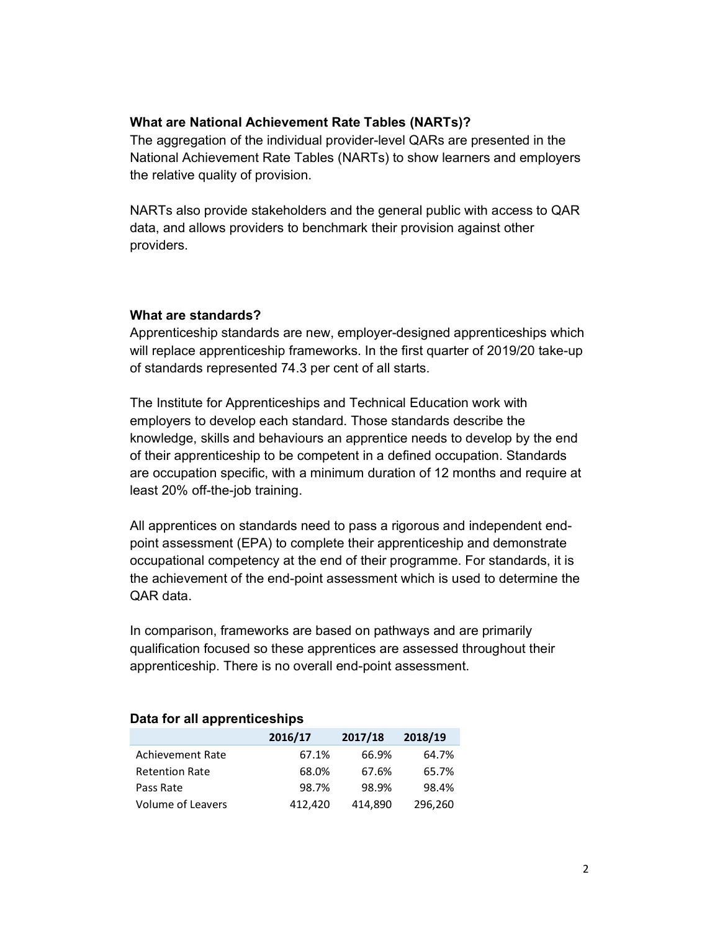## What are National Achievement Rate Tables (NARTs)?

The aggregation of the individual provider-level QARs are presented in the National Achievement Rate Tables (NARTs) to show learners and employers the relative quality of provision.

NARTs also provide stakeholders and the general public with access to QAR data, and allows providers to benchmark their provision against other providers.

### What are standards?

Apprenticeship standards are new, employer-designed apprenticeships which will replace apprenticeship frameworks. In the first quarter of 2019/20 take-up of standards represented 74.3 per cent of all starts.

The Institute for Apprenticeships and Technical Education work with employers to develop each standard. Those standards describe the knowledge, skills and behaviours an apprentice needs to develop by the end of their apprenticeship to be competent in a defined occupation. Standards are occupation specific, with a minimum duration of 12 months and require at least 20% off-the-job training.

All apprentices on standards need to pass a rigorous and independent endpoint assessment (EPA) to complete their apprenticeship and demonstrate occupational competency at the end of their programme. For standards, it is the achievement of the end-point assessment which is used to determine the QAR data.

In comparison, frameworks are based on pathways and are primarily qualification focused so these apprentices are assessed throughout their apprenticeship. There is no overall end-point assessment.

|                         | 2016/17 | 2017/18 | 2018/19 |
|-------------------------|---------|---------|---------|
| <b>Achievement Rate</b> | 67.1%   | 66.9%   | 64.7%   |
| <b>Retention Rate</b>   | 68.0%   | 67.6%   | 65.7%   |
| Pass Rate               | 98.7%   | 98.9%   | 98.4%   |
| Volume of Leavers       | 412,420 | 414,890 | 296,260 |

#### Data for all apprenticeships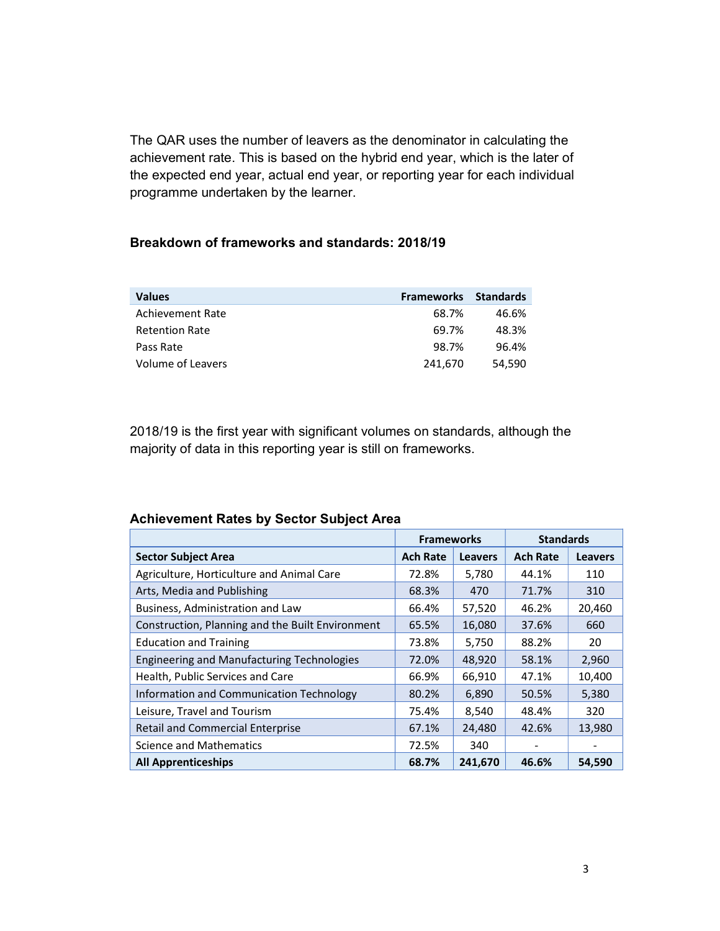The QAR uses the number of leavers as the denominator in calculating the achievement rate. This is based on the hybrid end year, which is the later of the expected end year, actual end year, or reporting year for each individual programme undertaken by the learner.

#### Breakdown of frameworks and standards: 2018/19

| <b>Values</b>         | <b>Frameworks</b> | <b>Standards</b> |
|-----------------------|-------------------|------------------|
| Achievement Rate      | 68.7%             | 46.6%            |
| <b>Retention Rate</b> | 69.7%             | 48.3%            |
| Pass Rate             | 98.7%             | 96.4%            |
| Volume of Leavers     | 241,670           | 54.590           |

2018/19 is the first year with significant volumes on standards, although the majority of data in this reporting year is still on frameworks.

# Frameworks Standards Sector Subject Area Ach Rate Leavers Ach Rate Leavers Ach Rate Leavers Ach Rate Leavers Agriculture, Horticulture and Animal Care 172.8% 5,780 44.1% 110 Arts, Media and Publishing 10 12 12 12 1310 158.3% 470 171.7% 310 Business, Administration and Law 66.4% 57,520 46.2% 20,460 Construction, Planning and the Built Environment  $\begin{array}{|l|c|c|c|c|c|c|c|}\n\hline\n65.5\% & 16,080 & 37.6\% & 660\n\end{array}$ Education and Training 73.8% 5,750 88.2% 20 Engineering and Manufacturing Technologies | 72.0% 48,920 58.1% 2,960 Health, Public Services and Care **66.9%** 66.9% 66,910 47.1% 10,400 Information and Communication Technology 80.2% 6,890 50.5% 5,380 Leisure, Travel and Tourism 1988 1991 1992 12:320 12:48:48 12:48:48 12:48:48 12:48:48:48 12:49:48:48 Retail and Commercial Enterprise 1990 167.1% 24,480 42.6% 13,980 Science and Mathematics 1992 12.5% 340 -All Apprenticeships **68.7% 241,670 46.6%** 54,590

#### Achievement Rates by Sector Subject Area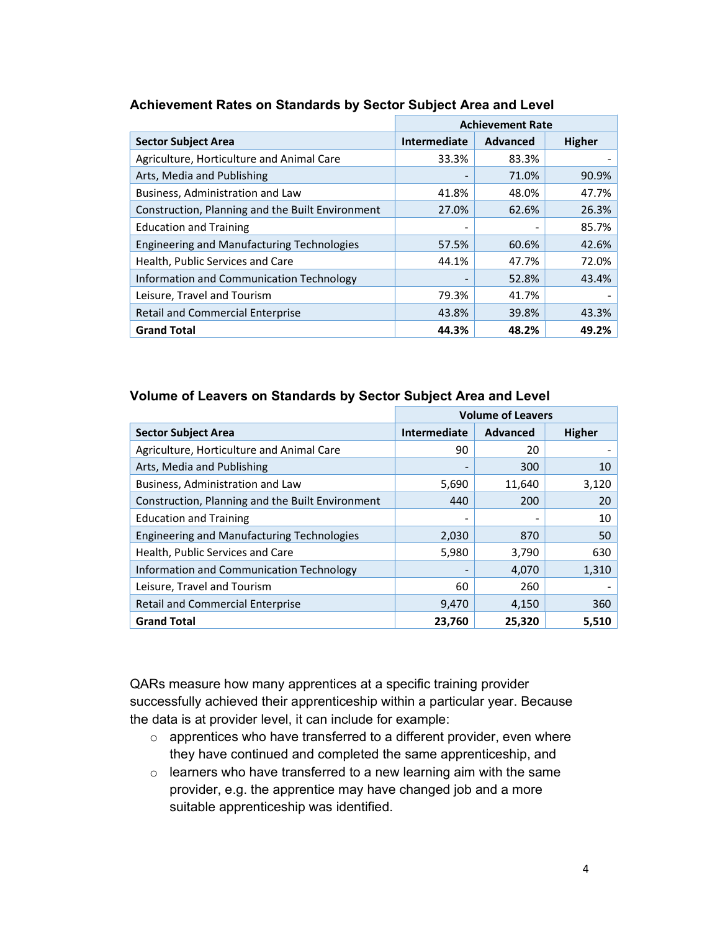|                                                   | <b>Achievement Rate</b> |          |               |  |
|---------------------------------------------------|-------------------------|----------|---------------|--|
| <b>Sector Subject Area</b>                        | Intermediate            | Advanced | <b>Higher</b> |  |
| Agriculture, Horticulture and Animal Care         | 33.3%                   | 83.3%    |               |  |
| Arts, Media and Publishing                        |                         | 71.0%    | 90.9%         |  |
| Business, Administration and Law                  | 41.8%                   | 48.0%    | 47.7%         |  |
| Construction, Planning and the Built Environment  | 27.0%                   | 62.6%    | 26.3%         |  |
| <b>Education and Training</b>                     |                         |          | 85.7%         |  |
| <b>Engineering and Manufacturing Technologies</b> | 57.5%                   | 60.6%    | 42.6%         |  |
| Health, Public Services and Care                  | 44.1%                   | 47.7%    | 72.0%         |  |
| Information and Communication Technology          |                         | 52.8%    | 43.4%         |  |
| Leisure, Travel and Tourism                       | 79.3%                   | 41.7%    |               |  |
| <b>Retail and Commercial Enterprise</b>           | 43.8%                   | 39.8%    | 43.3%         |  |
| <b>Grand Total</b>                                | 44.3%                   | 48.2%    | 49.2%         |  |

# Achievement Rates on Standards by Sector Subject Area and Level

## Volume of Leavers on Standards by Sector Subject Area and Level

|                                                   | <b>Volume of Leavers</b> |                 |               |
|---------------------------------------------------|--------------------------|-----------------|---------------|
| <b>Sector Subject Area</b>                        | <b>Intermediate</b>      | <b>Advanced</b> | <b>Higher</b> |
| Agriculture, Horticulture and Animal Care         | 90                       | 20              |               |
| Arts, Media and Publishing                        |                          | 300             | 10            |
| Business, Administration and Law                  | 5,690                    | 11,640          | 3,120         |
| Construction, Planning and the Built Environment  | 440                      | 200             | 20            |
| <b>Education and Training</b>                     |                          |                 | 10            |
| <b>Engineering and Manufacturing Technologies</b> | 2,030                    | 870             | 50            |
| Health, Public Services and Care                  | 5,980                    | 3,790           | 630           |
| Information and Communication Technology          |                          | 4,070           | 1,310         |
| Leisure, Travel and Tourism                       | 60                       | 260             |               |
| <b>Retail and Commercial Enterprise</b>           | 9,470                    | 4,150           | 360           |
| <b>Grand Total</b>                                | 23,760                   | 25,320          | 5,510         |

QARs measure how many apprentices at a specific training provider successfully achieved their apprenticeship within a particular year. Because the data is at provider level, it can include for example:

- o apprentices who have transferred to a different provider, even where they have continued and completed the same apprenticeship, and
- o learners who have transferred to a new learning aim with the same provider, e.g. the apprentice may have changed job and a more suitable apprenticeship was identified.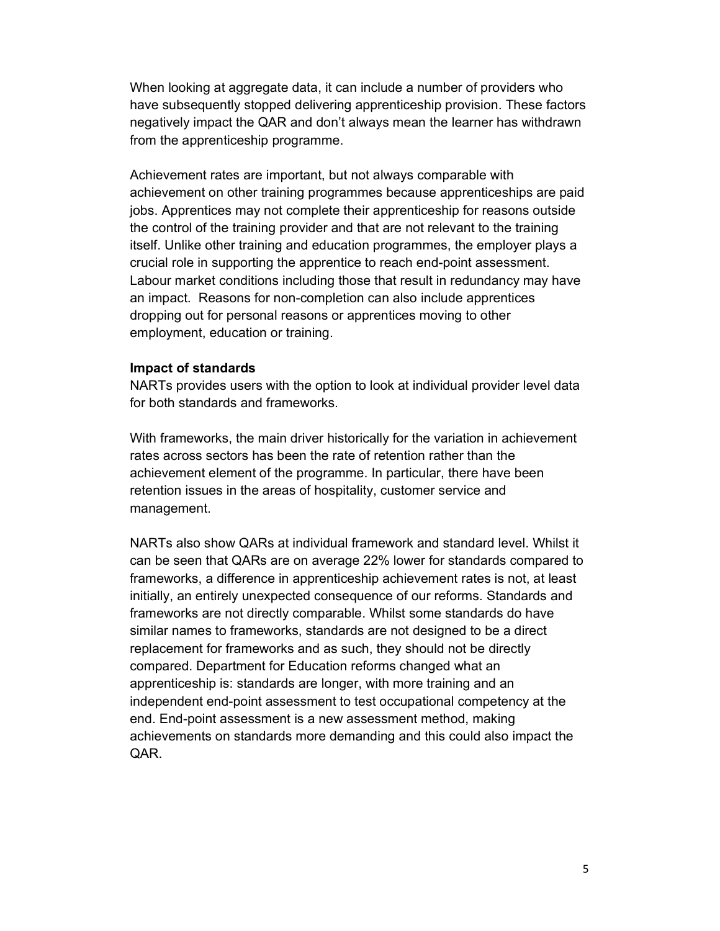When looking at aggregate data, it can include a number of providers who have subsequently stopped delivering apprenticeship provision. These factors negatively impact the QAR and don't always mean the learner has withdrawn from the apprenticeship programme.

Achievement rates are important, but not always comparable with achievement on other training programmes because apprenticeships are paid jobs. Apprentices may not complete their apprenticeship for reasons outside the control of the training provider and that are not relevant to the training itself. Unlike other training and education programmes, the employer plays a crucial role in supporting the apprentice to reach end-point assessment. Labour market conditions including those that result in redundancy may have an impact. Reasons for non-completion can also include apprentices dropping out for personal reasons or apprentices moving to other employment, education or training.

#### Impact of standards

NARTs provides users with the option to look at individual provider level data for both standards and frameworks.

With frameworks, the main driver historically for the variation in achievement rates across sectors has been the rate of retention rather than the achievement element of the programme. In particular, there have been retention issues in the areas of hospitality, customer service and management.

NARTs also show QARs at individual framework and standard level. Whilst it can be seen that QARs are on average 22% lower for standards compared to frameworks, a difference in apprenticeship achievement rates is not, at least initially, an entirely unexpected consequence of our reforms. Standards and frameworks are not directly comparable. Whilst some standards do have similar names to frameworks, standards are not designed to be a direct replacement for frameworks and as such, they should not be directly compared. Department for Education reforms changed what an apprenticeship is: standards are longer, with more training and an independent end-point assessment to test occupational competency at the end. End-point assessment is a new assessment method, making achievements on standards more demanding and this could also impact the QAR.